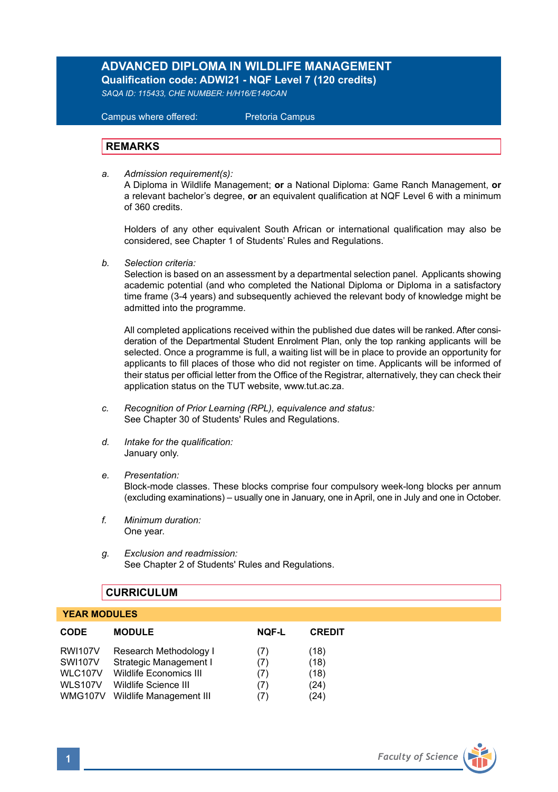# **ADVANCED DIPLOMA IN WILDLIFE MANAGEMENT Qualification code: ADWI21 - NQF Level 7 (120 credits)**

*SAQA ID: 115433, CHE NUMBER: H/H16/E149CAN* 

 Campus where offered: Pretoria Campus

#### **REMARKS**

*a. Admission requirement(s):* 

A Diploma in Wildlife Management; **or** a National Diploma: Game Ranch Management, **or** a relevant bachelor's degree, **or** an equivalent qualification at NQF Level 6 with a minimum of 360 credits.

Holders of any other equivalent South African or international qualification may also be considered, see Chapter 1 of Students' Rules and Regulations.

*b. Selection criteria:*

Selection is based on an assessment by a departmental selection panel. Applicants showing academic potential (and who completed the National Diploma or Diploma in a satisfactory time frame (3-4 years) and subsequently achieved the relevant body of knowledge might be admitted into the programme.

All completed applications received within the published due dates will be ranked. After consideration of the Departmental Student Enrolment Plan, only the top ranking applicants will be selected. Once a programme is full, a waiting list will be in place to provide an opportunity for applicants to fill places of those who did not register on time. Applicants will be informed of their status per official letter from the Office of the Registrar, alternatively, they can check their application status on the TUT website, www.tut.ac.za.

- *c. Recognition of Prior Learning (RPL), equivalence and status:* See Chapter 30 of Students' Rules and Regulations.
- *d. Intake for the qualification:* January only.
- *e. Presentation:* Block-mode classes. These blocks comprise four compulsory week-long blocks per annum (excluding examinations) – usually one in January, one in April, one in July and one in October.
- *f. Minimum duration:* One year.
- *g. Exclusion and readmission:* See Chapter 2 of Students' Rules and Regulations.

# **CURRICULUM**

# **YEAR MODULES**

| <b>CODE</b>    | <b>MODULE</b>           | <b>NQF-L</b> | <b>CREDIT</b> |
|----------------|-------------------------|--------------|---------------|
| <b>RWI107V</b> | Research Methodology I  | (7)          | (18)          |
| <b>SWI107V</b> | Strategic Management I  | (7)          | (18)          |
| <b>WLC107V</b> | Wildlife Economics III  | (7)          | (18)          |
| <b>WLS107V</b> | Wildlife Science III    | (7)          | (24)          |
| <b>WMG107V</b> | Wildlife Management III | (7)          | (24)          |

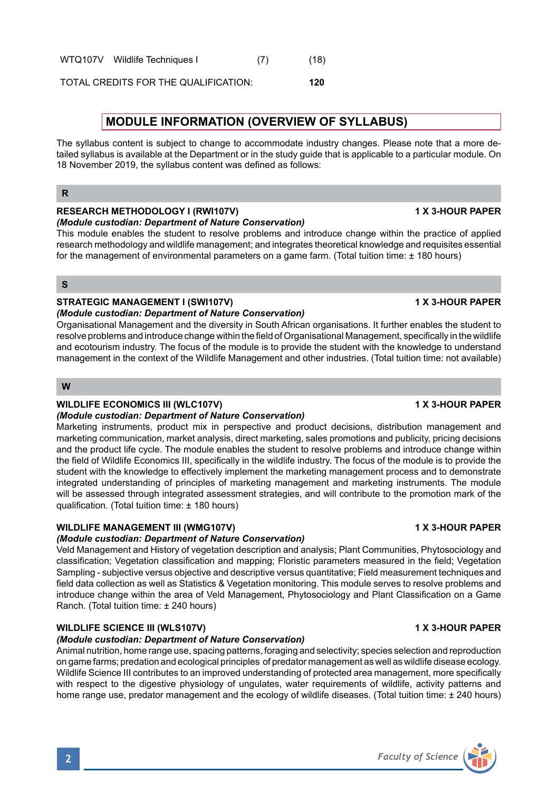**2** *Faculty of Science*

WTQ107V Wildlife Techniques | (7) (18)

TOTAL CREDITS FOR THE QUALIFICATION: **120**

# **MODULE INFORMATION (OVERVIEW OF SYLLABUS)**

The syllabus content is subject to change to accommodate industry changes. Please note that a more detailed syllabus is available at the Department or in the study guide that is applicable to a particular module. On 18 November 2019, the syllabus content was defined as follows:

#### **R**

#### **RESEARCH METHODOLOGY I (RWI107V) 1 X 3-HOUR PAPER**

#### *(Module custodian: Department of Nature Conservation)*

This module enables the student to resolve problems and introduce change within the practice of applied research methodology and wildlife management; and integrates theoretical knowledge and requisites essential for the management of environmental parameters on a game farm. (Total tuition time: ± 180 hours)

#### **S**

# STRATEGIC MANAGEMENT I (SWI107V) **1 ACCURAGEMENT 1 (SWINGTON PAPER**

#### *(Module custodian: Department of Nature Conservation)*

Organisational Management and the diversity in South African organisations. It further enables the student to resolve problems and introduce change within the field of Organisational Management, specifically in the wildlife and ecotourism industry. The focus of the module is to provide the student with the knowledge to understand management in the context of the Wildlife Management and other industries. (Total tuition time: not available)

# **W**

# **WILDLIFE ECONOMICS III (WLC107V) 1 X 3-HOUR PAPER**

#### *(Module custodian: Department of Nature Conservation)*

Marketing instruments, product mix in perspective and product decisions, distribution management and marketing communication, market analysis, direct marketing, sales promotions and publicity, pricing decisions and the product life cycle. The module enables the student to resolve problems and introduce change within the field of Wildlife Economics III, specifically in the wildlife industry. The focus of the module is to provide the student with the knowledge to effectively implement the marketing management process and to demonstrate integrated understanding of principles of marketing management and marketing instruments. The module will be assessed through integrated assessment strategies, and will contribute to the promotion mark of the qualification. (Total tuition time: ± 180 hours)

# **WILDLIFE MANAGEMENT III (WMG107V) 1 X 3-HOUR PAPER**

# *(Module custodian: Department of Nature Conservation)*

Veld Management and History of vegetation description and analysis; Plant Communities, Phytosociology and classification; Vegetation classification and mapping; Floristic parameters measured in the field; Vegetation Sampling - subjective versus objective and descriptive versus quantitative; Field measurement techniques and field data collection as well as Statistics & Vegetation monitoring. This module serves to resolve problems and introduce change within the area of Veld Management, Phytosociology and Plant Classification on a Game Ranch. (Total tuition time: ± 240 hours)

# **WILDLIFE SCIENCE III (WLS107V) 1 X 3-HOUR PAPER**

#### *(Module custodian: Department of Nature Conservation)*

Animal nutrition, home range use, spacing patterns, foraging and selectivity; species selection and reproduction on game farms; predation and ecological principles of predator management as well as wildlife disease ecology. Wildlife Science III contributes to an improved understanding of protected area management, more specifically with respect to the digestive physiology of ungulates, water requirements of wildlife, activity patterns and home range use, predator management and the ecology of wildlife diseases. (Total tuition time: ± 240 hours)